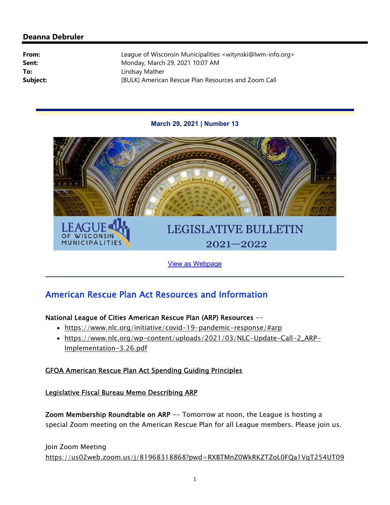| From:    | League of Wisconsin Municipalities <witynski@lwm-info.org></witynski@lwm-info.org> |
|----------|------------------------------------------------------------------------------------|
| Sent:    | Monday, March 29, 2021 10:07 AM                                                    |
| To:      | Lindsay Mather                                                                     |
| Subject: | [BULK] American Rescue Plan Resources and Zoom Call                                |



## American Rescue Plan Act Resources and Information

### National League of Cities American Rescue Plan (ARP) Resources --

- https://www.nlc.org/initiative/covid-19-pandemic-response/#arp
- https://www.nlc.org/wp-content/uploads/2021/03/NLC-Update-Call-2\_ARP-Implementation-3.26.pdf

### GFOA American Rescue Plan Act Spending Guiding Principles

Legislative Fiscal Bureau Memo Describing ARP

Zoom Membership Roundtable on ARP -- Tomorrow at noon, the League is hosting a special Zoom meeting on the American Rescue Plan for all League members. Please join us.

# Join Zoom Meeting

https://us02web.zoom.us/j/81968318868?pwd=RXBTMnZ0WkRKZTZoL0FQa1VqT254UT09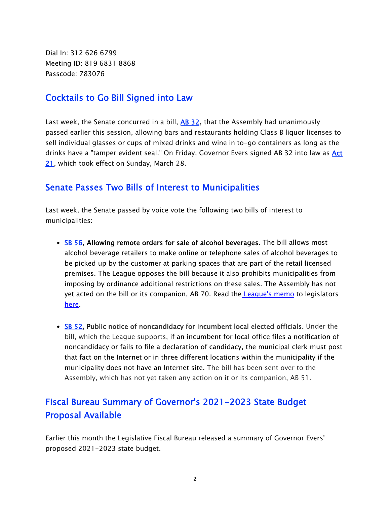Dial In: 312 626 6799 Meeting ID: 819 6831 8868 Passcode: 783076

## Cocktails to Go Bill Signed into Law

Last week, the Senate concurred in a bill, **AB 32**, that the Assembly had unanimously passed earlier this session, allowing bars and restaurants holding Class B liquor licenses to sell individual glasses or cups of mixed drinks and wine in to-go containers as long as the drinks have a "tamper evident seal." On Friday, Governor Evers signed AB 32 into law as **Act** 21, which took effect on Sunday, March 28.

## Senate Passes Two Bills of Interest to Municipalities

Last week, the Senate passed by voice vote the following two bills of interest to municipalities:

- SB 56, Allowing remote orders for sale of alcohol beverages. The bill allows most alcohol beverage retailers to make online or telephone sales of alcohol beverages to be picked up by the customer at parking spaces that are part of the retail licensed premises. The League opposes the bill because it also prohibits municipalities from imposing by ordinance additional restrictions on these sales. The Assembly has not yet acted on the bill or its companion, AB 70. Read the **League's memo** to legislators here.
- SB 52, Public notice of noncandidacy for incumbent local elected officials. Under the bill, which the League supports, if an incumbent for local office files a notification of noncandidacy or fails to file a declaration of candidacy, the municipal clerk must post that fact on the Internet or in three different locations within the municipality if the municipality does not have an Internet site. The bill has been sent over to the Assembly, which has not yet taken any action on it or its companion, AB 51.

## Fiscal Bureau Summary of Governor's 2021-2023 State Budget Proposal Available

Earlier this month the Legislative Fiscal Bureau released a summary of Governor Evers' proposed 2021-2023 state budget.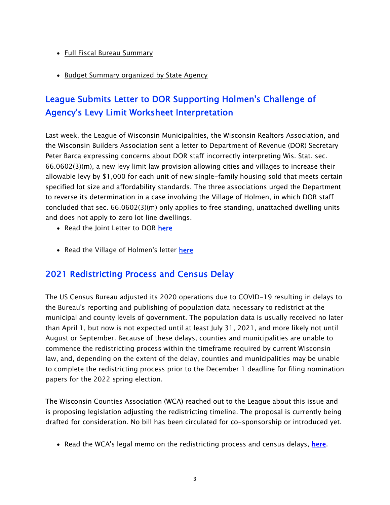- Full Fiscal Bureau Summary
- Budget Summary organized by State Agency

# League Submits Letter to DOR Supporting Holmen's Challenge of Agency's Levy Limit Worksheet Interpretation

Last week, the League of Wisconsin Municipalities, the Wisconsin Realtors Association, and the Wisconsin Builders Association sent a letter to Department of Revenue (DOR) Secretary Peter Barca expressing concerns about DOR staff incorrectly interpreting Wis. Stat. sec. 66.0602(3)(m), a new levy limit law provision allowing cities and villages to increase their allowable levy by \$1,000 for each unit of new single-family housing sold that meets certain specified lot size and affordability standards. The three associations urged the Department to reverse its determination in a case involving the Village of Holmen, in which DOR staff concluded that sec. 66.0602(3)(m) only applies to free standing, unattached dwelling units and does not apply to zero lot line dwellings.

- Read the Joint Letter to DOR here
- Read the Village of Holmen's letter here

## 2021 Redistricting Process and Census Delay

The US Census Bureau adjusted its 2020 operations due to COVID-19 resulting in delays to the Bureau's reporting and publishing of population data necessary to redistrict at the municipal and county levels of government. The population data is usually received no later than April 1, but now is not expected until at least July 31, 2021, and more likely not until August or September. Because of these delays, counties and municipalities are unable to commence the redistricting process within the timeframe required by current Wisconsin law, and, depending on the extent of the delay, counties and municipalities may be unable to complete the redistricting process prior to the December 1 deadline for filing nomination papers for the 2022 spring election.

The Wisconsin Counties Association (WCA) reached out to the League about this issue and is proposing legislation adjusting the redistricting timeline. The proposal is currently being drafted for consideration. No bill has been circulated for co-sponsorship or introduced yet.

• Read the WCA's legal memo on the redistricting process and census delays, here.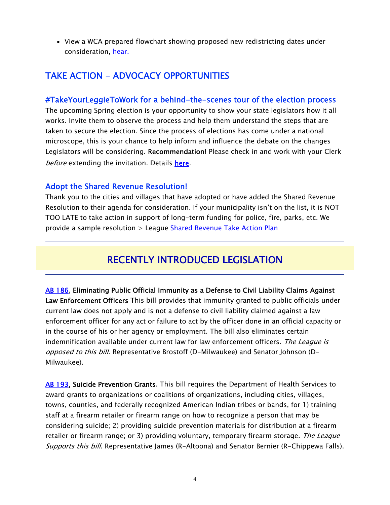• View a WCA prepared flowchart showing proposed new redistricting dates under consideration, hear.

## TAKE ACTION - ADVOCACY OPPORTUNITIES

### #TakeYourLeggieToWork for a behind-the-scenes tour of the election process

The upcoming Spring election is your opportunity to show your state legislators how it all works. Invite them to observe the process and help them understand the steps that are taken to secure the election. Since the process of elections has come under a national microscope, this is your chance to help inform and influence the debate on the changes Legislators will be considering. Recommendation! Please check in and work with your Clerk before extending the invitation. Details here.

### Adopt the Shared Revenue Resolution!

Thank you to the cities and villages that have adopted or have added the Shared Revenue Resolution to their agenda for consideration. If your municipality isn't on the list, it is NOT TOO LATE to take action in support of long-term funding for police, fire, parks, etc. We provide a sample resolution > League **Shared Revenue Take Action Plan** 

# RECENTLY INTRODUCED LEGISLATION

AB 186, Eliminating Public Official Immunity as a Defense to Civil Liability Claims Against Law Enforcement Officers This bill provides that immunity granted to public officials under current law does not apply and is not a defense to civil liability claimed against a law enforcement officer for any act or failure to act by the officer done in an official capacity or in the course of his or her agency or employment. The bill also eliminates certain indemnification available under current law for law enforcement officers. The League is opposed to this bill. Representative Brostoff (D-Milwaukee) and Senator Johnson (D-Milwaukee).

AB 193, Suicide Prevention Grants. This bill requires the Department of Health Services to award grants to organizations or coalitions of organizations, including cities, villages, towns, counties, and federally recognized American Indian tribes or bands, for 1) training staff at a firearm retailer or firearm range on how to recognize a person that may be considering suicide; 2) providing suicide prevention materials for distribution at a firearm retailer or firearm range; or 3) providing voluntary, temporary firearm storage. The League Supports this bill. Representative James (R-Altoona) and Senator Bernier (R-Chippewa Falls).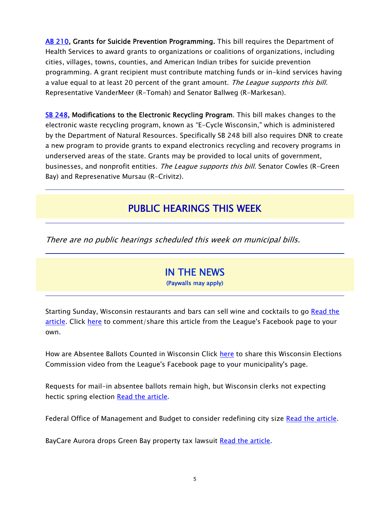AB 210, Grants for Suicide Prevention Programming. This bill requires the Department of Health Services to award grants to organizations or coalitions of organizations, including cities, villages, towns, counties, and American Indian tribes for suicide prevention programming. A grant recipient must contribute matching funds or in-kind services having a value equal to at least 20 percent of the grant amount. The League supports this bill. Representative VanderMeer (R-Tomah) and Senator Ballweg (R-Markesan).

SB 248, Modifications to the Electronic Recycling Program. This bill makes changes to the electronic waste recycling program, known as "E-Cycle Wisconsin," which is administered by the Department of Natural Resources. Specifically SB 248 bill also requires DNR to create a new program to provide grants to expand electronics recycling and recovery programs in underserved areas of the state. Grants may be provided to local units of government, businesses, and nonprofit entities. *The League supports this bill.* Senator Cowles (R-Green Bay) and Represenative Mursau (R-Crivitz).

## PUBLIC HEARINGS THIS WEEK

There are no public hearings scheduled this week on municipal bills.

# IN THE NEWS

(Paywalls may apply)

Starting Sunday, Wisconsin restaurants and bars can sell wine and cocktails to go Read the article. Click here to comment/share this article from the League's Facebook page to your own.

How are Absentee Ballots Counted in Wisconsin Click here to share this Wisconsin Elections Commission video from the League's Facebook page to your municipality's page.

Requests for mail-in absentee ballots remain high, but Wisconsin clerks not expecting hectic spring election Read the article.

Federal Office of Management and Budget to consider redefining city size Read the article.

BayCare Aurora drops Green Bay property tax lawsuit Read the article.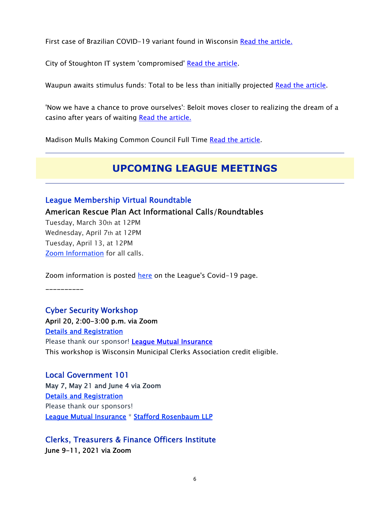First case of Brazilian COVID-19 variant found in Wisconsin Read the article.

City of Stoughton IT system 'compromised' Read the article.

Waupun awaits stimulus funds: Total to be less than initially projected Read the article.

'Now we have a chance to prove ourselves': Beloit moves closer to realizing the dream of a casino after years of waiting Read the article.

Madison Mulls Making Common Council Full Time Read the article.

# **UPCOMING LEAGUE MEETINGS**

### League Membership Virtual Roundtable

American Rescue Plan Act Informational Calls/Roundtables

Tuesday, March 30th at 12PM Wednesday, April 7th at 12PM Tuesday, April 13, at 12PM Zoom Information for all calls.

Zoom information is posted here on the League's Covid-19 page.

\_\_\_\_\_\_\_\_\_\_

Cyber Security Workshop April 20, 2:00-3:00 p.m. via Zoom Details and Registration Please thank our sponsor! Leaque Mutual Insurance This workshop is Wisconsin Municipal Clerks Association credit eligible.

Local Government 101 May 7, May 21 and June 4 via Zoom Details and Registration Please thank our sponsors! League Mutual Insurance \* Stafford Rosenbaum LLP

Clerks, Treasurers & Finance Officers Institute June 9-11, 2021 via Zoom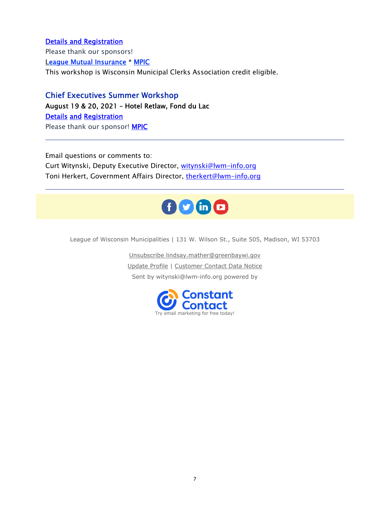Details and Registration Please thank our sponsors! League Mutual Insurance \* MPIC This workshop is Wisconsin Municipal Clerks Association credit eligible.

Chief Executives Summer Workshop August 19 & 20, 2021 – Hotel Retlaw, Fond du Lac Details and Registration Please thank our sponsor! MPIC

Email questions or comments to: Curt Witynski, Deputy Executive Director, witynski@lwm-info.org Toni Herkert, Government Affairs Director, therkert@lwm-info.org



League of Wisconsin Municipalities | 131 W. Wilson St., Suite 505, Madison, WI 53703

Unsubscribe lindsay.mather@greenbaywi.gov Update Profile | Customer Contact Data Notice Sent by witynski@lwm-info.org powered by

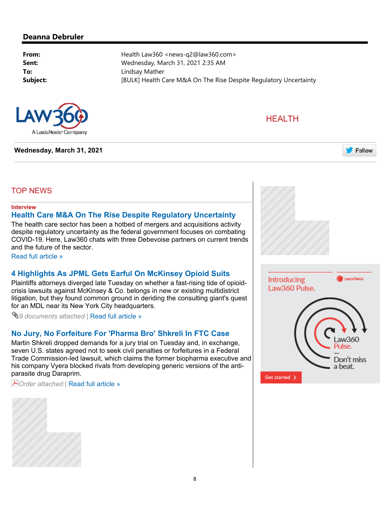**From:** Health Law360 <news-q2@law360.com> **Sent:** Wednesday, March 31, 2021 2:35 AM **To:** Lindsay Mather **Subject:** [BULK] Health Care M&A On The Rise Despite Regulatory Uncertainty



**Wednesday, March 31, 2021** 



### TOP NEWS

**Interview** 

### **Health Care M&A On The Rise Despite Regulatory Uncertainty**

The health care sector has been a hotbed of mergers and acquisitions activity despite regulatory uncertainty as the federal government focuses on combating COVID-19. Here, Law360 chats with three Debevoise partners on current trends and the future of the sector.

Read full article »

### **4 Highlights As JPML Gets Earful On McKinsey Opioid Suits**

Plaintiffs attorneys diverged late Tuesday on whether a fast-rising tide of opioidcrisis lawsuits against McKinsey & Co. belongs in new or existing multidistrict litigation, but they found common ground in deriding the consulting giant's quest for an MDL near its New York City headquarters.

*9 documents attached |* Read full article »

### **No Jury, No Forfeiture For 'Pharma Bro' Shkreli In FTC Case**

Martin Shkreli dropped demands for a jury trial on Tuesday and, in exchange, seven U.S. states agreed not to seek civil penalties or forfeitures in a Federal Trade Commission-led lawsuit, which claims the former biopharma executive and his company Vyera blocked rivals from developing generic versions of the antiparasite drug Daraprim.

*AOrder attached | Read full article »* 





**HFALTH** 

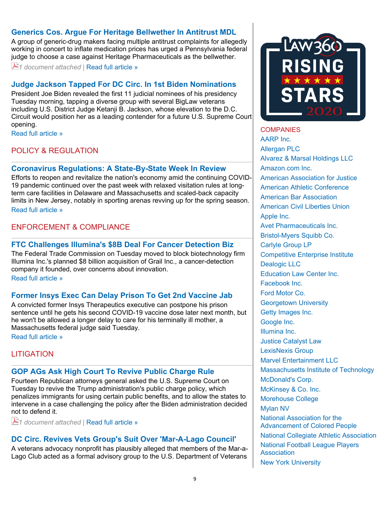### **Generics Cos. Argue For Heritage Bellwether In Antitrust MDL**

A group of generic-drug makers facing multiple antitrust complaints for allegedly working in concert to inflate medication prices has urged a Pennsylvania federal judge to choose a case against Heritage Pharmaceuticals as the bellwether.

**1** document attached | Read full article »

### **Judge Jackson Tapped For DC Circ. In 1st Biden Nominations**

President Joe Biden revealed the first 11 judicial nominees of his presidency Tuesday morning, tapping a diverse group with several BigLaw veterans including U.S. District Judge Ketanji B. Jackson, whose elevation to the D.C. Circuit would position her as a leading contender for a future U.S. Supreme Court opening.

Read full article »

### POLICY & REGULATION

#### **Coronavirus Regulations: A State-By-State Week In Review**

Efforts to reopen and revitalize the nation's economy amid the continuing COVID-19 pandemic continued over the past week with relaxed visitation rules at longterm care facilities in Delaware and Massachusetts and scaled-back capacity limits in New Jersey, notably in sporting arenas revving up for the spring season. Read full article »

ENFORCEMENT & COMPLIANCE

#### **FTC Challenges Illumina's \$8B Deal For Cancer Detection Biz**

The Federal Trade Commission on Tuesday moved to block biotechnology firm Illumina Inc.'s planned \$8 billion acquisition of Grail Inc., a cancer-detection company it founded, over concerns about innovation.

Read full article »

#### **Former Insys Exec Can Delay Prison To Get 2nd Vaccine Jab**

A convicted former Insys Therapeutics executive can postpone his prison sentence until he gets his second COVID-19 vaccine dose later next month, but he won't be allowed a longer delay to care for his terminally ill mother, a Massachusetts federal judge said Tuesday.

Read full article »

### **LITIGATION**

#### **GOP AGs Ask High Court To Revive Public Charge Rule**

Fourteen Republican attorneys general asked the U.S. Supreme Court on Tuesday to revive the Trump administration's public charge policy, which penalizes immigrants for using certain public benefits, and to allow the states to intervene in a case challenging the policy after the Biden administration decided not to defend it.

*1 document attached |* Read full article »

### **DC Circ. Revives Vets Group's Suit Over 'Mar-A-Lago Council'**

A veterans advocacy nonprofit has plausibly alleged that members of the Mar-a-Lago Club acted as a formal advisory group to the U.S. Department of Veterans



**COMPANIES** AARP Inc. Allergan PLC Alvarez & Marsal Holdings LLC Amazon.com Inc. American Association for Justice American Athletic Conference American Bar Association American Civil Liberties Union Apple Inc. Avet Pharmaceuticals Inc. Bristol-Myers Squibb Co. Carlyle Group LP Competitive Enterprise Institute Dealogic LLC Education Law Center Inc. Facebook Inc. Ford Motor Co. Georgetown University Getty Images Inc. Google Inc. Illumina Inc. Justice Catalyst Law LexisNexis Group Marvel Entertainment LLC Massachusetts Institute of Technology McDonald's Corp. McKinsey & Co. Inc. Morehouse College Mylan NV National Association for the Advancement of Colored People National Collegiate Athletic Association National Football League Players **Association** New York University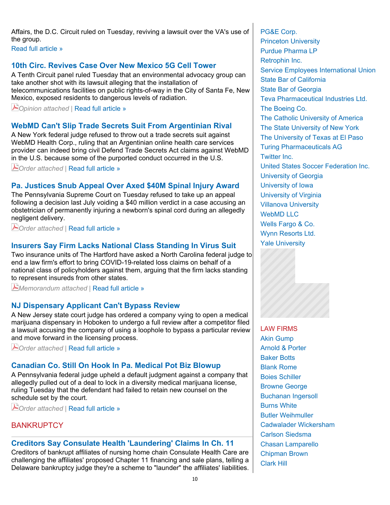Affairs, the D.C. Circuit ruled on Tuesday, reviving a lawsuit over the VA's use of the group.

Read full article »

### **10th Circ. Revives Case Over New Mexico 5G Cell Tower**

A Tenth Circuit panel ruled Tuesday that an environmental advocacy group can take another shot with its lawsuit alleging that the installation of telecommunications facilities on public rights-of-way in the City of Santa Fe, New Mexico, exposed residents to dangerous levels of radiation.

*Opinion attached |* Read full article »

### **WebMD Can't Slip Trade Secrets Suit From Argentinian Rival**

A New York federal judge refused to throw out a trade secrets suit against WebMD Health Corp., ruling that an Argentinian online health care services provider can indeed bring civil Defend Trade Secrets Act claims against WebMD in the U.S. because some of the purported conduct occurred in the U.S.

*AOrder attached | Read full article »* 

### **Pa. Justices Snub Appeal Over Axed \$40M Spinal Injury Award**

The Pennsylvania Supreme Court on Tuesday refused to take up an appeal following a decision last July voiding a \$40 million verdict in a case accusing an obstetrician of permanently injuring a newborn's spinal cord during an allegedly negligent delivery.

*AOrder attached | Read full article »* 

### **Insurers Say Firm Lacks National Class Standing In Virus Suit**

Two insurance units of The Hartford have asked a North Carolina federal judge to end a law firm's effort to bring COVID-19-related loss claims on behalf of a national class of policyholders against them, arguing that the firm lacks standing to represent insureds from other states.

*Memorandum attached* | Read full article »

### **NJ Dispensary Applicant Can't Bypass Review**

A New Jersey state court judge has ordered a company vying to open a medical marijuana dispensary in Hoboken to undergo a full review after a competitor filed a lawsuit accusing the company of using a loophole to bypass a particular review and move forward in the licensing process.

*AOrder attached | Read full article »* 

## **Canadian Co. Still On Hook In Pa. Medical Pot Biz Blowup**

A Pennsylvania federal judge upheld a default judgment against a company that allegedly pulled out of a deal to lock in a diversity medical marijuana license, ruling Tuesday that the defendant had failed to retain new counsel on the schedule set by the court.

 $\angle$ *Order attached | Read full article »* 

## **BANKRUPTCY**

## **Creditors Say Consulate Health 'Laundering' Claims In Ch. 11**

Creditors of bankrupt affiliates of nursing home chain Consulate Health Care are challenging the affiliates' proposed Chapter 11 financing and sale plans, telling a Delaware bankruptcy judge they're a scheme to "launder" the affiliates' liabilities. PG&E Corp. Princeton University Purdue Pharma LP Retrophin Inc. Service Employees International Union State Bar of California State Bar of Georgia Teva Pharmaceutical Industries Ltd. The Boeing Co. The Catholic University of America The State University of New York The University of Texas at El Paso Turing Pharmaceuticals AG Twitter Inc. United States Soccer Federation Inc. University of Georgia University of Iowa University of Virginia Villanova University WebMD LLC Wells Fargo & Co. Wynn Resorts Ltd. Yale University



LAW FIRMS Akin Gump Arnold & Porter Baker Botts Blank Rome Boies Schiller Browne George Buchanan Ingersoll Burns White Butler Weihmuller Cadwalader Wickersham Carlson Siedsma Chasan Lamparello Chipman Brown Clark Hill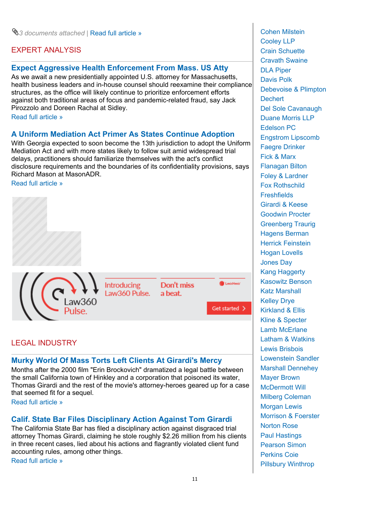### EXPERT ANALYSIS

### **Expect Aggressive Health Enforcement From Mass. US Atty**

As we await a new presidentially appointed U.S. attorney for Massachusetts, health business leaders and in-house counsel should reexamine their compliance structures, as the office will likely continue to prioritize enforcement efforts against both traditional areas of focus and pandemic-related fraud, say Jack Pirozzolo and Doreen Rachal at Sidley.

Read full article »

### **A Uniform Mediation Act Primer As States Continue Adoption**

With Georgia expected to soon become the 13th jurisdiction to adopt the Uniform Mediation Act and with more states likely to follow suit amid widespread trial delays, practitioners should familiarize themselves with the act's conflict disclosure requirements and the boundaries of its confidentiality provisions, says Richard Mason at MasonADR.

Read full article »



### LEGAL INDUSTRY

### **Murky World Of Mass Torts Left Clients At Girardi's Mercy**

Months after the 2000 film "Erin Brockovich" dramatized a legal battle between the small California town of Hinkley and a corporation that poisoned its water, Thomas Girardi and the rest of the movie's attorney-heroes geared up for a case that seemed fit for a sequel.

Read full article »

### **Calif. State Bar Files Disciplinary Action Against Tom Girardi**

The California State Bar has filed a disciplinary action against disgraced trial attorney Thomas Girardi, claiming he stole roughly \$2.26 million from his clients in three recent cases, lied about his actions and flagrantly violated client fund accounting rules, among other things.

Read full article »

Cohen Milstein Cooley LLP Crain Schuette Cravath Swaine DLA Piper Davis Polk Debevoise & Plimpton **Dechert** Del Sole Cavanaugh Duane Morris LLP Edelson PC Engstrom Lipscomb Faegre Drinker Fick & Marx Flanagan Bilton Foley & Lardner Fox Rothschild **Freshfields** Girardi & Keese Goodwin Procter Greenberg Traurig Hagens Berman Herrick Feinstein Hogan Lovells Jones Day Kang Haggerty Kasowitz Benson Katz Marshall Kelley Drye Kirkland & Ellis Kline & Specter Lamb McErlane Latham & Watkins Lewis Brisbois Lowenstein Sandler Marshall Dennehey Mayer Brown McDermott Will Milberg Coleman Morgan Lewis Morrison & Foerster Norton Rose Paul Hastings Pearson Simon Perkins Coie Pillsbury Winthrop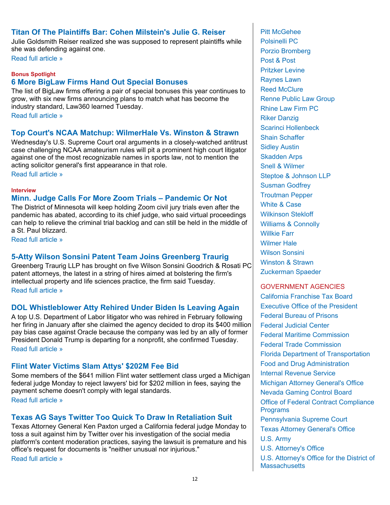#### **Titan Of The Plaintiffs Bar: Cohen Milstein's Julie G. Reiser**

Julie Goldsmith Reiser realized she was supposed to represent plaintiffs while she was defending against one.

Read full article »

#### **Bonus Spotlight**

#### **6 More BigLaw Firms Hand Out Special Bonuses**

The list of BigLaw firms offering a pair of special bonuses this year continues to grow, with six new firms announcing plans to match what has become the industry standard, Law360 learned Tuesday.

Read full article »

### **Top Court's NCAA Matchup: WilmerHale Vs. Winston & Strawn**

Wednesday's U.S. Supreme Court oral arguments in a closely-watched antitrust case challenging NCAA amateurism rules will pit a prominent high court litigator against one of the most recognizable names in sports law, not to mention the acting solicitor general's first appearance in that role.

Read full article »

#### **Interview**

#### **Minn. Judge Calls For More Zoom Trials – Pandemic Or Not**

The District of Minnesota will keep holding Zoom civil jury trials even after the pandemic has abated, according to its chief judge, who said virtual proceedings can help to relieve the criminal trial backlog and can still be held in the middle of a St. Paul blizzard.

Read full article »

#### **5-Atty Wilson Sonsini Patent Team Joins Greenberg Traurig**

Greenberg Traurig LLP has brought on five Wilson Sonsini Goodrich & Rosati PC patent attorneys, the latest in a string of hires aimed at bolstering the firm's intellectual property and life sciences practice, the firm said Tuesday. Read full article »

#### **DOL Whistleblower Atty Rehired Under Biden Is Leaving Again**

A top U.S. Department of Labor litigator who was rehired in February following her firing in January after she claimed the agency decided to drop its \$400 million pay bias case against Oracle because the company was led by an ally of former President Donald Trump is departing for a nonprofit, she confirmed Tuesday. Read full article »

#### **Flint Water Victims Slam Attys' \$202M Fee Bid**

Some members of the \$641 million Flint water settlement class urged a Michigan federal judge Monday to reject lawyers' bid for \$202 million in fees, saying the payment scheme doesn't comply with legal standards. Read full article »

### **Texas AG Says Twitter Too Quick To Draw In Retaliation Suit**

Texas Attorney General Ken Paxton urged a California federal judge Monday to toss a suit against him by Twitter over his investigation of the social media platform's content moderation practices, saying the lawsuit is premature and his office's request for documents is "neither unusual nor injurious." Read full article »

Pitt McGehee Polsinelli PC Porzio Bromberg Post & Post Pritzker Levine Raynes Lawn Reed McClure Renne Public Law Group Rhine Law Firm PC Riker Danzig Scarinci Hollenbeck Shain Schaffer Sidley Austin Skadden Arps Snell & Wilmer Steptoe & Johnson LLP Susman Godfrey Troutman Pepper White & Case Wilkinson Stekloff Williams & Connolly Willkie Farr Wilmer Hale Wilson Sonsini Winston & Strawn Zuckerman Spaeder

GOVERNMENT AGENCIES

California Franchise Tax Board Executive Office of the President Federal Bureau of Prisons Federal Judicial Center Federal Maritime Commission Federal Trade Commission Florida Department of Transportation Food and Drug Administration Internal Revenue Service Michigan Attorney General's Office Nevada Gaming Control Board Office of Federal Contract Compliance Programs Pennsylvania Supreme Court Texas Attorney General's Office U.S. Army U.S. Attorney's Office U.S. Attorney's Office for the District of **Massachusetts**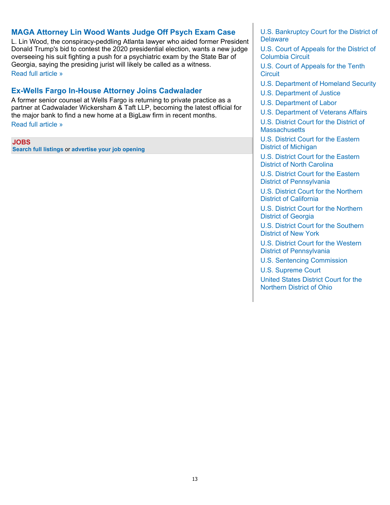### **MAGA Attorney Lin Wood Wants Judge Off Psych Exam Case**

L. Lin Wood, the conspiracy-peddling Atlanta lawyer who aided former President Donald Trump's bid to contest the 2020 presidential election, wants a new judge overseeing his suit fighting a push for a psychiatric exam by the State Bar of Georgia, saying the presiding jurist will likely be called as a witness. Read full article »

### **Ex-Wells Fargo In-House Attorney Joins Cadwalader**

A former senior counsel at Wells Fargo is returning to private practice as a partner at Cadwalader Wickersham & Taft LLP, becoming the latest official for the major bank to find a new home at a BigLaw firm in recent months. Read full article »

**JOBS Search full listings** or **advertise your job opening** U.S. Bankruptcy Court for the District of **Delaware** 

U.S. Court of Appeals for the District of Columbia Circuit

U.S. Court of Appeals for the Tenth **Circuit** 

U.S. Department of Homeland Security

U.S. Department of Justice

U.S. Department of Labor

U.S. Department of Veterans Affairs

U.S. District Court for the District of **Massachusetts** 

U.S. District Court for the Eastern District of Michigan

U.S. District Court for the Eastern District of North Carolina

U.S. District Court for the Eastern District of Pennsylvania

U.S. District Court for the Northern District of California

U.S. District Court for the Northern District of Georgia

U.S. District Court for the Southern District of New York

U.S. District Court for the Western District of Pennsylvania

U.S. Sentencing Commission

U.S. Supreme Court

United States District Court for the Northern District of Ohio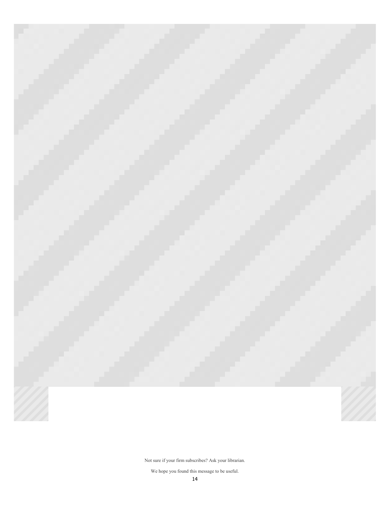

Not sure if your firm subscribes? Ask your librarian.

We hope you found this message to be useful.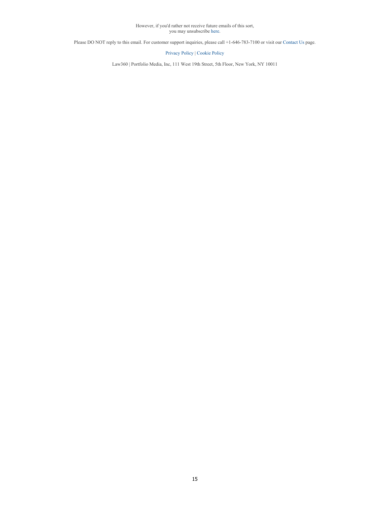However, if you'd rather not receive future emails of this sort, you may unsubscribe here.

Please DO NOT reply to this email. For customer support inquiries, please call +1-646-783-7100 or visit our Contact Us page.

Privacy Policy | Cookie Policy

Law360 | Portfolio Media, Inc, 111 West 19th Street, 5th Floor, New York, NY 10011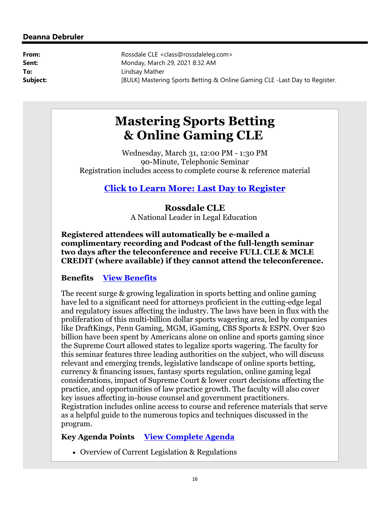**From:** Rossdale CLE <class@rossdaleleg.com> **Sent:** Monday, March 29, 2021 8:32 AM **To:** Lindsay Mather **Subject: EXECT:** [BULK] Mastering Sports Betting & Online Gaming CLE -Last Day to Register.

# **Mastering Sports Betting & Online Gaming CLE**

Wednesday, March 31, 12:00 PM - 1:30 PM 90-Minute, Telephonic Seminar Registration includes access to complete course & reference material

## **Click to Learn More: Last Day to Register**

### **Rossdale CLE** A National Leader in Legal Education

**Registered attendees will automatically be e-mailed a complimentary recording and Podcast of the full-length seminar two days after the teleconference and receive FULL CLE & MCLE CREDIT (where available) if they cannot attend the teleconference.**

### **Benefits View Benefits**

The recent surge & growing legalization in sports betting and online gaming have led to a significant need for attorneys proficient in the cutting-edge legal and regulatory issues affecting the industry. The laws have been in flux with the proliferation of this multi-billion dollar sports wagering area, led by companies like DraftKings, Penn Gaming, MGM, iGaming, CBS Sports & ESPN. Over \$20 billion have been spent by Americans alone on online and sports gaming since the Supreme Court allowed states to legalize sports wagering. The faculty for this seminar features three leading authorities on the subject, who will discuss relevant and emerging trends, legislative landscape of online sports betting, currency & financing issues, fantasy sports regulation, online gaming legal considerations, impact of Supreme Court & lower court decisions affecting the practice, and opportunities of law practice growth. The faculty will also cover key issues affecting in-house counsel and government practitioners. Registration includes online access to course and reference materials that serve as a helpful guide to the numerous topics and techniques discussed in the program. .

### **Key Agenda Points View Complete Agenda**

Overview of Current Legislation & Regulations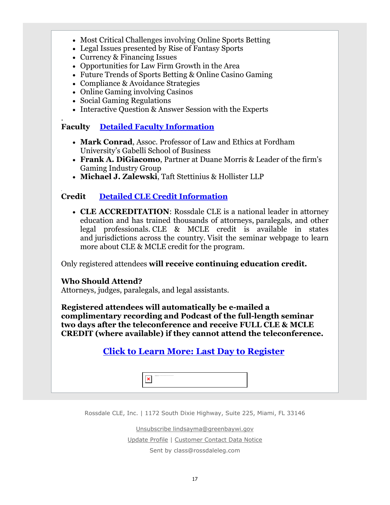- Most Critical Challenges involving Online Sports Betting
- Legal Issues presented by Rise of Fantasy Sports
- Currency & Financing Issues
- Opportunities for Law Firm Growth in the Area
- Future Trends of Sports Betting & Online Casino Gaming
- Compliance & Avoidance Strategies
- Online Gaming involving Casinos
- Social Gaming Regulations
- Interactive Question & Answer Session with the Experts

#### . **Faculty Detailed Faculty Information**

- **Mark Conrad**, Assoc. Professor of Law and Ethics at Fordham University's Gabelli School of Business
- **Frank A. DiGiacomo**, Partner at Duane Morris & Leader of the firm's Gaming Industry Group
- **Michael J. Zalewski**, Taft Stettinius & Hollister LLP

#### . **Credit Detailed CLE Credit Information**

 **CLE ACCREDITATION**: Rossdale CLE is a national leader in attorney education and has trained thousands of attorneys, paralegals, and other legal professionals. CLE & MCLE credit is available in states and jurisdictions across the country. Visit the seminar webpage to learn more about CLE & MCLE credit for the program.

Only registered attendees **will receive continuing education credit.**

### **Who Should Attend?**

Attorneys, judges, paralegals, and legal assistants.

**Registered attendees will automatically be e-mailed a complimentary recording and Podcast of the full-length seminar two days after the teleconference and receive FULL CLE & MCLE CREDIT (where available) if they cannot attend the teleconference.**

## **Click to Learn More: Last Day to Register**

 $\pmb{\times}$ 

Rossdale CLE, Inc. | 1172 South Dixie Highway, Suite 225, Miami, FL 33146

Unsubscribe lindsayma@greenbaywi.gov

Update Profile | Customer Contact Data Notice

Sent by class@rossdaleleg.com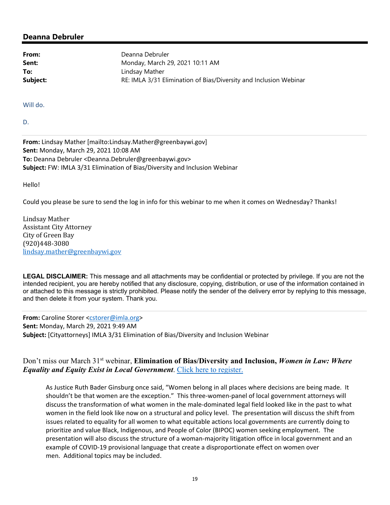**From:** Deanna Debruler **Sent:** Monday, March 29, 2021 10:11 AM **To:** Lindsay Mather **Subject:** RE: IMLA 3/31 Elimination of Bias/Diversity and Inclusion Webinar

Will do.

D.

**From:** Lindsay Mather [mailto:Lindsay.Mather@greenbaywi.gov] **Sent:** Monday, March 29, 2021 10:08 AM **To:** Deanna Debruler <Deanna.Debruler@greenbaywi.gov> **Subject:** FW: IMLA 3/31 Elimination of Bias/Diversity and Inclusion Webinar

Hello!

Could you please be sure to send the log in info for this webinar to me when it comes on Wednesday? Thanks!

Lindsay Mather Assistant City Attorney City of Green Bay (920)448-3080 lindsay.mather@greenbaywi.gov

**LEGAL DISCLAIMER:** This message and all attachments may be confidential or protected by privilege. If you are not the intended recipient, you are hereby notified that any disclosure, copying, distribution, or use of the information contained in or attached to this message is strictly prohibited. Please notify the sender of the delivery error by replying to this message, and then delete it from your system. Thank you.

**From:** Caroline Storer <cstorer@imla.org> **Sent:** Monday, March 29, 2021 9:49 AM **Subject:** [Cityattorneys] IMLA 3/31 Elimination of Bias/Diversity and Inclusion Webinar

### Don't miss our March 31<sup>st</sup> webinar, **Elimination of Bias/Diversity and Inclusion,** *Women in Law: Where Equality and Equity Exist in Local Government*. Click here to register.

As Justice Ruth Bader Ginsburg once said, "Women belong in all places where decisions are being made. It shouldn't be that women are the exception." This three-women-panel of local government attorneys will discuss the transformation of what women in the male‐dominated legal field looked like in the past to what women in the field look like now on a structural and policy level. The presentation will discuss the shift from issues related to equality for all women to what equitable actions local governments are currently doing to prioritize and value Black, Indigenous, and People of Color (BIPOC) women seeking employment. The presentation will also discuss the structure of a woman-majority litigation office in local government and an example of COVID‐19 provisional language that create a disproportionate effect on women over men. Additional topics may be included.